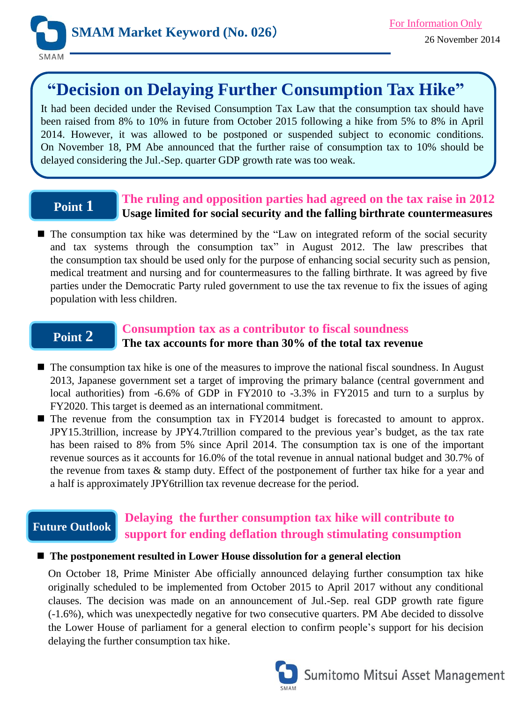

# **"Decision on Delaying Further Consumption Tax Hike"**

It had been decided under the Revised Consumption Tax Law that the consumption tax should have been raised from 8% to 10% in future from October 2015 following a hike from 5% to 8% in April 2014. However, it was allowed to be postponed or suspended subject to economic conditions. On November 18, PM Abe announced that the further raise of consumption tax to 10% should be delayed considering the Jul.-Sep. quarter GDP growth rate was too weak.

# **Point 1**

### **The ruling and opposition parties had agreed on the tax raise in 2012 Usage limited for social security and the falling birthrate countermeasures**

■ The consumption tax hike was determined by the "Law on integrated reform of the social security and tax systems through the consumption tax" in August 2012. The law prescribes that the consumption tax should be used only for the purpose of enhancing social security such as pension, medical treatment and nursing and for countermeasures to the falling birthrate. It was agreed by five parties under the Democratic Party ruled government to use the tax revenue to fix the issues of aging population with less children.

# **Point 2**

#### **Consumption tax as a contributor to fiscal soundness The tax accounts for more than 30% of the total tax revenue**

- The consumption tax hike is one of the measures to improve the national fiscal soundness. In August 2013, Japanese government set a target of improving the primary balance (central government and local authorities) from -6.6% of GDP in FY2010 to -3.3% in FY2015 and turn to a surplus by FY2020. This target is deemed as an international commitment.
- The revenue from the consumption tax in FY2014 budget is forecasted to amount to approx. JPY15.3trillion, increase by JPY4.7trillion compared to the previous year's budget, as the tax rate has been raised to 8% from 5% since April 2014. The consumption tax is one of the important revenue sources as it accounts for 16.0% of the total revenue in annual national budget and 30.7% of the revenue from taxes & stamp duty. Effect of the postponement of further tax hike for a year and a half is approximately JPY6trillion tax revenue decrease for the period.

### **Future Outlook**

## **Delaying the further consumption tax hike will contribute to support for ending deflation through stimulating consumption**

#### **The postponement resulted in Lower House dissolution for a general election**

On October 18, Prime Minister Abe officially announced delaying further consumption tax hike originally scheduled to be implemented from October 2015 to April 2017 without any conditional clauses. The decision was made on an announcement of Jul.-Sep. real GDP growth rate figure (-1.6%), which was unexpectedly negative for two consecutive quarters. PM Abe decided to dissolve the Lower House of parliament for a general election to confirm people's support for his decision delaying the further consumption tax hike.